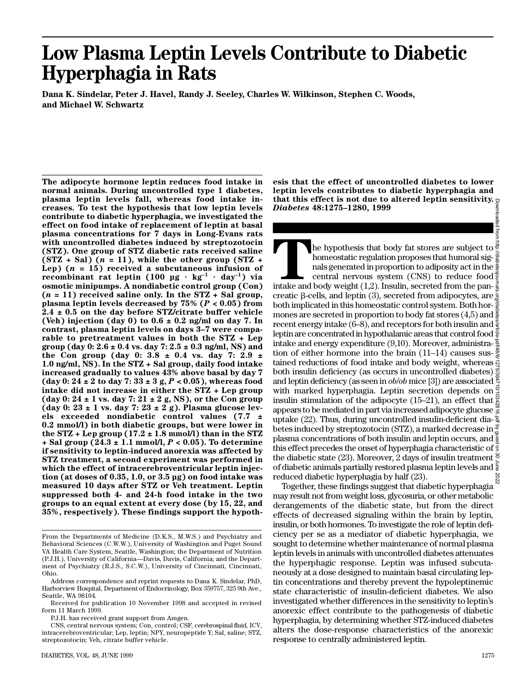# **Low Plasma Leptin Levels Contribute to Diabetic Hyperphagia in Rats**

**Dana K. Sindelar, Peter J. Havel, Randy J. Seeley, Charles W. Wilkinson, Stephen C. Woods, and Michael W. Schwartz**

**The adipocyte hormone leptin reduces food intake in normal animals. During uncontrolled type 1 diabetes, plasma leptin levels fall, whereas food intake increases. To test the hypothesis that low leptin levels contribute to diabetic hyperphagia, we investigated the e ffect on food intake of replacement of leptin at basal plasma concentrations for 7 days in Long-Evans rats with uncontrolled diabetes induced by streptozotocin (STZ). One group of STZ diabetic rats received saline**  $(STZ + Sal)$   $(n = 11)$ , while the other group  $(STZ +$ **Lep) (***n* **= 15) received a subcutaneous infusion of**  $r$ **ecombinant rat leptin (100 µg · kg<sup>-1</sup> · day<sup>-1</sup>) via osmotic minipumps. A nondiabetic control group (Con) (***n* **= 11) received saline only. In the STZ + Sal group, plasma leptin levels decreased by 75% (***P* **< 0.05) from 2.4 ± 0.5 on the day before STZ/citrate buffer vehicle ( Veh) injection (day 0) to 0.6 ± 0.2 ng/ml on day 7. In contrast, plasma leptin levels on days 3–7 were comparable to pretreatment values in both the STZ + Lep group (day 0: 2.6 ± 0.4 vs. day 7: 2.5 ± 0.3 ng/ml, NS) and the Con group (day 0: 3.8 ± 0.4 vs. day 7: 2.9 ± 1.0 ng/ml, NS). In the STZ + Sal group, daily food intake increased gradually to values 43% above basal by day 7 (day 0: 24 ± 2 to day 7: 33 ± 3 g,** *P* **< 0.05), whereas food intake did not increase in either the STZ + Lep group (day 0: 24 ± 1 vs. day 7: 21 ± 2 g, NS), or the Con group (day 0: 23 ± 1 vs. day 7: 23 ± 2 g). Plasma glucose levels exceeded nondiabetic control values (7.7 ± 0.2 mmol/l) in both diabetic groups, but were lower in the STZ + Lep group (17.2 ± 1.8 mmol/l) than in the STZ + Sal group (24.3 ± 1.1 mmol/l,** *P* **< 0.05). To determine if sensitivity to leptin-induced anorexia was affected by STZ treatment, a second experiment was performed in which the effect of intracerebroventricular leptin injection (at doses of 0.35, 1.0, or 3.5 µg) on food intake was measured 10 days after STZ or Veh treatment. Leptin suppressed both 4- and 24-h food intake in the two groups to an equal extent at every dose (by 15, 22, and 35%, respectively). These findings support the hypoth-**

DIABETES, VOL. 48, JUNE 1999 1275

**esis that the effect of uncontrolled diabetes to lower leptin levels contributes to diabetic hyperphagia and that this effect is not due to altered leptin sensitivity.** *D i a b e t e s* **48:1275–1280, 1999** vnoageg

**THE INTERNATION ISSUE AND THE ALL STATES AND INTERNATIONAL SERVING SUPPOSE STATES (THE CONSERVING) ASSEMBLY A CONSERVING SUPPOSE THE CONSERVING SUPPOSE THE PAPER CONSERVING SUPPOSE THE PAPER CONSERVING SUPPOSE THE PAPER C** he hypothesis that body fat stores are subject to  $\frac{3}{5}$ homeostatic regulation proposes that humoral sig- $\frac{5}{9}$ nals generated in proportion to adiposity act in the  $\frac{8}{9}$ central nervous system (CNS) to reduce food $\frac{3}{2}$ creatic  $\beta$ -cells, and leptin (3), secreted from adipocytes, are  $\hat{g}$ both implicated in this homeostatic control system. Both hor- $\frac{5}{8}$ mones are secreted in proportion to body fat stores  $(4,5)$  and  $\frac{8}{6}$ recent energy intake (6–8), and receptors for both insulin and  $\frac{8}{3}$ leptin are concentrated in hypothalamic areas that control food  $\frac{5}{8}$ intake and energy expenditure (9,10). Moreover, administration of either hormone into the brain (11–14) causes sus- $\frac{2}{3}$ tained reductions of food intake and body weight, whereas both insulin deficiency (as occurs in uncontrolled diabetes)  $\frac{9}{4}$ and leptin deficiency (as seen in  $ob/ob$  mice [3]) are associated  $\frac{2}{3}$ with marked hyperphagia. Leptin secretion depends on insulin stimulation of the adipocyte (15–21), an effect that  $\frac{\infty}{6}$ appears to be mediated in part via increased adipocyte glucose uptake (22). Thus, during uncontrolled insulin-deficient dia- $\frac{2}{3}$ betes induced by streptozotocin (STZ), a marked decrease in  $\frac{8}{9}$ plasma concentrations of both insulin and leptin occurs, and  $\frac{5}{8}$ this effect precedes the onset of hyperphagia characteristic of the diabetic state (23). Moreover, 2 days of insulin treatment  $\frac{8}{5}$ of diabetic animals partially restored plasma leptin levels and  $\frac{2}{3}$ reduced diabetic hyperphagia by half (23). Downloaded from http://diabetesjournals.org/diabetes/article-pdf/48/6/1275/364710/10342816.pdf by guest on 30 June 2022

Together, these findings suggest that diabetic hyperphagia may result not from weight loss, glycosuria, or other metabolic derangements of the diabetic state, but from the direct effects of decreased signaling within the brain by leptin, insulin, or both hormones. To investigate the role of leptin deficiency per se as a mediator of diabetic hyperphagia, we sought to determine whether maintenance of normal plasma leptin levels in animals with uncontrolled diabetes attenuates the hyperphagic response. Leptin was infused subcutaneously at a dose designed to maintain basal circulating leptin concentrations and thereby prevent the hypoleptinemic state characteristic of insulin-deficient diabetes. We also investigated whether differences in the sensitivity to leptin's anorexic effect contribute to the pathogenesis of diabetic hyperphagia, by determining whether STZ-induced diabetes alters the dose-response characteristics of the anorexic response to centrally administered leptin.

From the Departments of Medicine (D.K.S., M.W.S.) and Psychiatry and Behavioral Sciences (C.W. W.), University of Washington and Puget Sound VA Health Care System, Seattle, Washington; the Department of Nutrition ( P.J.H.), University of California—Davis, Davis, California; and the Department of Psychiatry (R.J.S., S.C.W.), University of Cincinnati, Cincinnati, Ohio.

Address correspondence and reprint requests to Dana K. Sindelar, PhD, Harborview Hospital, Department of Endocrinology, Box 359757, 325 9th Ave., Seattle, WA 98104.

Received for publication 10 November 1998 and accepted in revised form 11 March 1999.

P.J.H. has received grant support from Amgen.

CNS, central nervous system; Con, control; CSF, cerebrospinal fluid, ICV, intracerebroventricular; Lep, leptin; NPY, neuropeptide Y; Sal, saline; STZ, streptozotocin; Veh, citrate buffer vehicle.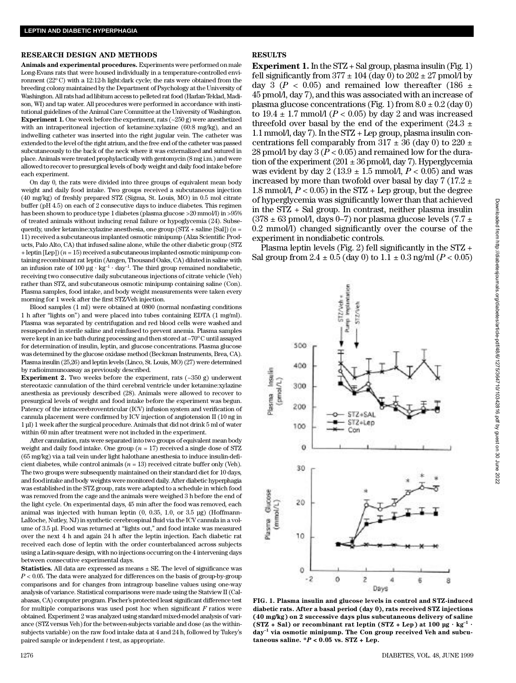#### **RESEARCH DESIGN AND METHODS**

**Animals and experimental procedures.** Experiments were performed on male Long-Evans rats that were housed individually in a temperature-controlled environment (22°C) with a 12:12-h light:dark cycle; the rats were obtained from the breeding colony maintained by the Department of Psychology at the University of Washington. All rats had ad libitum access to pelleted rat food (Harlan-Teklad, Madison, WI) and tap water. All procedures were performed in accordance with institutional guidelines of the Animal Care Committee at the University of Washington. **Experiment 1.** One week before the experiment, rats (~250 g) were anesthetized with an intraperitoneal injection of ketamine:xylazine (60:8 mg/kg), and an indwelling catheter was inserted into the right jugular vein. The catheter was extended to the level of the right atrium, and the free end of the catheter was passed subcutaneously to the back of the neck where it was externalized and sutured in place. Animals were treated prophylactically with gentomycin (8 mg i.m.) and were allowed to recover to presurgical levels of body weight and daily food intake before each experiment.

On day 0, the rats were divided into three groups of equivalent mean body weight and daily food intake. Two groups received a subcutaneous injection (40 mg/kg) of freshly prepared STZ (Sigma, St. Louis, MO) in 0.5 mol citrate buffer (pH 4.5) on each of 2 consecutive days to induce diabetes. This regimen has been shown to produce type 1 diabetes (plasma glucose >20 mmol/l) in >95% of treated animals without inducing renal failure or hypoglycemia (24). Subsequently, under ketamine:xylazine anesthesia, one group ( $STZ + \text{saline}$  [Sal]) ( $n =$ 11) received a subcutaneous implanted osmotic minipump (Alza Scientific Products, Palo Alto, CA) that infused saline alone, while the other diabetic group (STZ  $+$  leptin  $[{\rm Lep}]$ )  $(n = 15)$  received a subcutaneous implanted osmotic minipump containing recombinant rat leptin (Amgen, Thousand Oaks, CA) diluted in saline with an infusion rate of 100  $\mu$ g · kg<sup>-1</sup> · day<sup>-1</sup>. The third group remained nondiabetic, receiving two consecutive daily subcutaneous injections of citrate vehicle (Veh) rather than STZ, and subcutaneous osmotic minipump containing saline (Con). Plasma samples, food intake, and body weight measurements were taken every morning for 1 week after the first STZ/Veh injection.

Blood samples (1 ml) were obtained at 0800 (normal nonfasting conditions 1 h after "lights on") and were placed into tubes containing EDTA (1 mg/ml). Plasma was separated by centrifugation and red blood cells were washed and resuspended in sterile saline and reinfused to prevent anemia. Plasma samples were kept in an ice bath during processing and then stored at  $-70^{\circ}$ C until assayed for determination of insulin, leptin, and glucose concentrations. Plasma glucose was determined by the glucose oxidase method (Beckman Instruments, Brea, CA). Plasma insulin (25,26) and leptin levels (Linco, St. Louis, MO) (27) were determined by radioimmunoassay as previously described.

**Experiment 2.** Two weeks before the experiment, rats  $(\sim 350 \text{ g})$  underwent stereotaxic cannulation of the third cerebral ventricle under ketamine:xylazine anesthesia as previously described (28). Animals were allowed to recover to presurgical levels of weight and food intake before the experiment was begun. Patency of the intracerebroventricular (ICV) infusion system and verification of cannula placement were confirmed by ICV injection of angiotension II (10 ng in 1 µl) 1 week after the surgical procedure. Animals that did not drink 5 ml of water within 60 min after treatment were not included in the experiment.

After cannulation, rats were separated into two groups of equivalent mean body weight and daily food intake. One group  $(n = 17)$  received a single dose of STZ (65 mg/kg) via a tail vein under light halothane anesthesia to induce insulin-deficient diabetes, while control animals  $(n = 13)$  received citrate buffer only (Veh). The two groups were subsequently maintained on their standard diet for 10 days, and food intake and body weights were monitored daily. After diabetic hyperphagia was established in the STZ group, rats were adapted to a schedule in which food was removed from the cage and the animals were weighed 3 h before the end of the light cycle. On experimental days, 45 min after the food was removed, each animal was injected with human leptin (0, 0.35, 1.0, or 3.5 µg) (Hoffmann-LaRoche, Nutley, NJ) in synthetic cerebrospinal fluid via the ICV cannula in a volume of 3.5 µl. Food was returned at "lights out," and food intake was measured over the next 4 h and again 24 h after the leptin injection. Each diabetic rat received each dose of leptin with the order counterbalanced across subjects using a Latin-square design, with no injections occurring on the 4 intervening days between consecutive experimental days.

**Statistics.** All data are expressed as means ± SE. The level of significance was *P* < 0.05. The data were analyzed for differences on the basis of group-by-group comparisons and for changes from intragroup baseline values using one-way analysis of variance. Statistical comparisons were made using the Statview II (Calabasas, CA) computer program. Fischer's protected least significant difference test for multiple comparisons was used post hoc when significant *F* ratios were obtained. Experiment 2 was analyzed using standard mixed-model analysis of variance (STZ versus Veh) for the between-subjects variable and dose (as the withinsubjects variable) on the raw food intake data at 4 and 24 h, followed by Tukey's paired sample or independent *t* test, as appropriate.

## **RESULTS**

**Experiment 1.** In the STZ + Sal group, plasma insulin (Fig. 1) fell significantly from  $377 \pm 104$  (day 0) to  $202 \pm 27$  pmol/l by day  $3$  ( $P < 0.05$ ) and remained low thereafter (186  $\pm$ 45 pmol/l, day 7), and this was associated with an increase of plasma glucose concentrations (Fig. 1) from  $8.0 \pm 0.2$  (day 0) to  $19.4 \pm 1.7$  mmol/ $(P < 0.05)$  by day 2 and was increased threefold over basal by the end of the experiment (24.3  $\pm$ 1.1 mmol/l, day 7). In the STZ + Lep group, plasma insulin concentrations fell comparably from  $317 \pm 36$  (day 0) to  $220 \pm$ 28 pmol/l by day  $3 (P < 0.05)$  and remained low for the duration of the experiment  $(201 \pm 36 \text{ pmol/l}, \text{day } 7)$ . Hyperglycemia was evident by day  $2(13.9 \pm 1.5 \text{ mmol/l}, P < 0.05)$  and was increased by more than twofold over basal by day 7 (17.2  $\pm$ 1.8 mmol/l,  $P < 0.05$ ) in the STZ + Lep group, but the degree of hyperglycemia was significantly lower than that achieved in the STZ + Sal group. In contrast, neither plasma insulin  $(378 \pm 63 \text{ pmol/l}, \text{days } 0 - 7)$  nor plasma glucose levels  $(7.7 \pm 1)$ 0.2 mmol/l) changed significantly over the course of the experiment in nondiabetic controls.

Plasma leptin levels (Fig. 2) fell significantly in the STZ + Sal group from  $2.4 \pm 0.5$  (day 0) to  $1.1 \pm 0.3$  ng/ml ( $P < 0.05$ )



**FIG. 1. Plasma insulin and glucose levels in control and STZ-induced diabetic rats. After a basal period (day 0), rats received STZ injections (40 mg/kg) on 2 successive days plus subcutaneous delivery of saline (STZ + Sal)** or recombinant rat leptin  $\left(\text{STZ + Lep}\right)$  at 100  $\mu$ g ·  $\text{kg}^{-1}$  · day<sup>-1</sup> via osmotic minipump. The Con group received Veh and subcu**taneous saline. \****P* **< 0.05 vs. STZ + Lep.**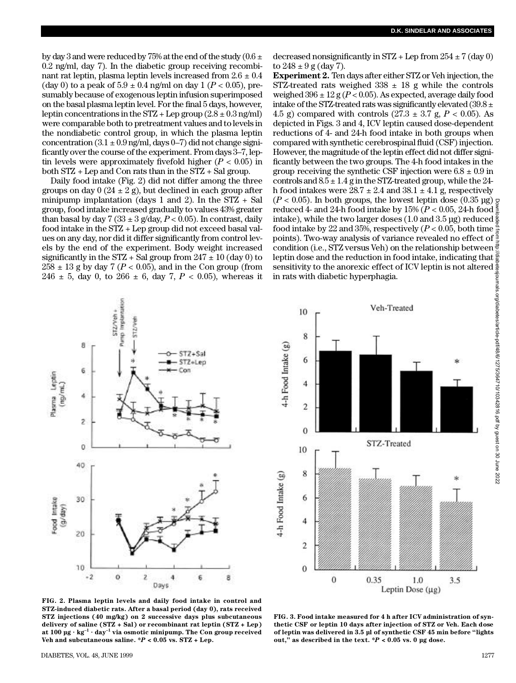by day 3 and were reduced by 75% at the end of the study (0.6  $\pm$ 0.2 ng/ml, day 7). In the diabetic group receiving recombinant rat leptin, plasma leptin levels increased from  $2.6 \pm 0.4$ (day 0) to a peak of  $5.9 \pm 0.4$  ng/ml on day 1 ( $P < 0.05$ ), presumably because of exogenous leptin infusion superimposed on the basal plasma leptin level. For the final 5 days, however, leptin concentrations in the STZ + Lep group  $(2.8 \pm 0.3 \,\text{ng/ml})$ were comparable both to pretreatment values and to levels in the nondiabetic control group, in which the plasma leptin concentration  $(3.1 \pm 0.9 \,\text{ng/ml}, \text{days } 0\text{--}7)$  did not change significantly over the course of the experiment. From days 3–7, leptin levels were approximately fivefold higher  $(P < 0.05)$  in both STZ + Lep and Con rats than in the STZ + Sal group.

Daily food intake (Fig. 2) did not differ among the three groups on day  $0$  (24  $\pm$  2 g), but declined in each group after minipump implantation (days 1 and 2). In the  $STZ + Sal$ group, food intake increased gradually to values 43% greater than basal by day  $7(33 \pm 3 \text{ g/day}, P < 0.05)$ . In contrast, daily food intake in the STZ + Lep group did not exceed basal values on any day, nor did it differ significantly from control levels by the end of the experiment. Body weight increased significantly in the STZ + Sal group from  $247 \pm 10$  (day 0) to  $258 \pm 13$  g by day 7 ( $P < 0.05$ ), and in the Con group (from 246  $\pm$  5, day 0, to 266  $\pm$  6, day 7, P < 0.05), whereas it

decreased nonsignificantly in  $STZ + Lep$  from  $254 \pm 7$  (day 0) to  $248 \pm 9$  g (day 7).

**Experiment 2.** Ten days after either STZ or Veh injection, the STZ-treated rats weighed  $338 \pm 18$  g while the controls weighed  $396 \pm 12$  g ( $P < 0.05$ ). As expected, average daily food intake of the STZ-treated rats was significantly elevated  $(39.8 \pm 1)$ 4.5 g) compared with controls  $(27.3 \pm 3.7 \text{ g}, P < 0.05)$ . As depicted in Figs. 3 and 4, ICV leptin caused dose-dependent reductions of 4- and 24-h food intake in both groups when compared with synthetic cerebrospinal fluid (CSF) injection. However, the magnitude of the leptin effect did not differ significantly between the two groups. The 4-h food intakes in the group receiving the synthetic CSF injection were  $6.8 \pm 0.9$  in controls and  $8.5 \pm 1.4$  g in the STZ-treated group, while the 24h food intakes were  $28.7 \pm 2.4$  and  $38.1 \pm 4.1$  g, respectively  $(P < 0.05)$ . In both groups, the lowest leptin dose  $(0.35 \text{ µg})$ reduced 4- and 24-h food intake by  $15\%$  ( $P < 0.05$ , 24-h food intake), while the two larger doses (1.0 and 3.5 µg) reduced  $\frac{8}{8}$ food intake by 22 and 35%, respectively ( $P < 0.05$ , both time  $\frac{\alpha}{5}$ points). Two-way analysis of variance revealed no effect of  $\frac{3}{2}$ condition (i.e., STZ versus Veh) on the relationship between leptin dose and the reduction in food intake, indicating that  $\frac{5}{9}$ sensitivity to the anorexic effect of ICV leptin is not altered  $\frac{8}{9}$ in rats with diabetic hyperphagia.





**FIG. 2. Plasma leptin levels and daily food intake in control and STZ-induced diabetic rats. After a basal period (day 0), rats received STZ injections (40 mg/kg) on 2 successive days plus subcutaneous delivery of saline (STZ + Sal) or recombinant rat leptin (STZ + Lep) at 100**  $\mu$ **g**  $\cdot$   $\mathbf{kg}^{-1}$   $\cdot$   $\mathbf{day}^{-1}$  via osmotic minipump. The Con group received **Veh and subcutaneous saline. \****P* **< 0.05 vs. STZ + Lep.**

**FIG. 3. Food intake measured for 4 h after ICV administration of synthetic CSF or leptin 10 days after injection of STZ or Veh. Each dose of leptin was delivered in 3.5 µl of synthetic CSF 45 min before "lights out," as described in the text. \****P* **< 0.05 vs. 0 µg dose.**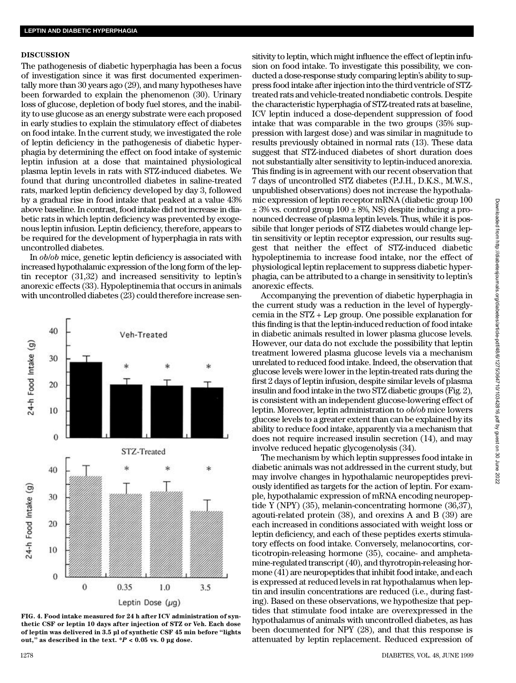## **DISCUSSION**

The pathogenesis of diabetic hyperphagia has been a focus of investigation since it was first documented experimentally more than 30 years ago (29), and many hypotheses have been forwarded to explain the phenomenon (30). Urinary loss of glucose, depletion of body fuel stores, and the inability to use glucose as an energy substrate were each proposed in early studies to explain the stimulatory effect of diabetes on food intake. In the current study, we investigated the role of leptin deficiency in the pathogenesis of diabetic hyperphagia by determining the effect on food intake of systemic leptin infusion at a dose that maintained physiological plasma leptin levels in rats with STZ-induced diabetes. We found that during uncontrolled diabetes in saline-treated rats, marked leptin deficiency developed by day 3, followed by a gradual rise in food intake that peaked at a value 43% above baseline. In contrast, food intake did not increase in diabetic rats in which leptin deficiency was prevented by exogenous leptin infusion. Leptin deficiency, therefore, appears to be required for the development of hyperphagia in rats with uncontrolled diabetes.

In *ob/ob* mice, genetic leptin deficiency is associated with increased hypothalamic expression of the long form of the leptin receptor (31,32) and increased sensitivity to leptin's anorexic effects (33). Hypoleptinemia that occurs in animals with uncontrolled diabetes (23) could therefore increase sen-



**FIG. 4. Food intake measured for 24 h after ICV administration of synthetic CSF or leptin 10 days after injection of STZ or Veh. Each dose of leptin was delivered in 3.5 µl of synthetic CSF 45 min before "lights** out," as described in the text.  $*P < 0.05$  vs. 0 µg dose.

sitivity to leptin, which might influence the effect of leptin infusion on food intake. To investigate this possibility, we conducted a dose-response study comparing leptin's ability to suppress food intake after injection into the third ventricle of STZtreated rats and vehicle-treated nondiabetic controls. Despite the characteristic hyperphagia of STZ-treated rats at baseline, ICV leptin induced a dose-dependent suppression of food intake that was comparable in the two groups (35% suppression with largest dose) and was similar in magnitude to results previously obtained in normal rats (13). These data suggest that STZ-induced diabetes of short duration does not substantially alter sensitivity to leptin-induced anorexia. This finding is in agreement with our recent observation that 7 days of uncontrolled STZ diabetes (P.J.H., D.K.S., M.W.S., unpublished observations) does not increase the hypothalamic expression of leptin receptor mRNA (diabetic group 100  $\pm$  3% vs. control group 100  $\pm$  8%, NS) despite inducing a pronounced decrease of plasma leptin levels. Thus, while it is possibile that longer periods of STZ diabetes would change leptin sensitivity or leptin receptor expression, our results suggest that neither the effect of STZ-induced diabetic hypoleptinemia to increase food intake, nor the effect of physiological leptin replacement to suppress diabetic hyperphagia, can be attributed to a change in sensitivity to leptin's anorexic effects.

Accompanying the prevention of diabetic hyperphagia in the current study was a reduction in the level of hyperglycemia in the STZ + Lep group. One possible explanation for this finding is that the leptin-induced reduction of food intake in diabetic animals resulted in lower plasma glucose levels. However, our data do not exclude the possibility that leptin treatment lowered plasma glucose levels via a mechanism unrelated to reduced food intake. Indeed, the observation that glucose levels were lower in the leptin-treated rats during the first 2 days of leptin infusion, despite similar levels of plasma insulin and food intake in the two STZ diabetic groups (Fig. 2), is consistent with an independent glucose-lowering effect of leptin. Moreover, leptin administration to *ob/ob* mice lowers glucose levels to a greater extent than can be explained by its ability to reduce food intake, apparently via a mechanism that does not require increased insulin secretion (14), and may involve reduced hepatic glycogenolysis (34).

The mechanism by which leptin suppresses food intake in diabetic animals was not addressed in the current study, but may involve changes in hypothalamic neuropeptides previously identified as targets for the action of leptin. For example, hypothalamic expression of mRNA encoding neuropeptide Y (NPY) (35), melanin-concentrating hormone (36,37), agouti-related protein (38), and orexins A and B (39) are each increased in conditions associated with weight loss or leptin deficiency, and each of these peptides exerts stimulatory effects on food intake. Conversely, melanocortins, corticotropin-releasing hormone (35), cocaine- and amphetamine-regulated transcript (40), and thyrotropin-releasing hormone (41) are neuropeptides that inhibit food intake, and each is expressed at reduced levels in rat hypothalamus when leptin and insulin concentrations are reduced (i.e., during fasting). Based on these observations, we hypothesize that peptides that stimulate food intake are overexpressed in the hypothalamus of animals with uncontrolled diabetes, as has been documented for NPY (28), and that this response is attenuated by leptin replacement. Reduced expression of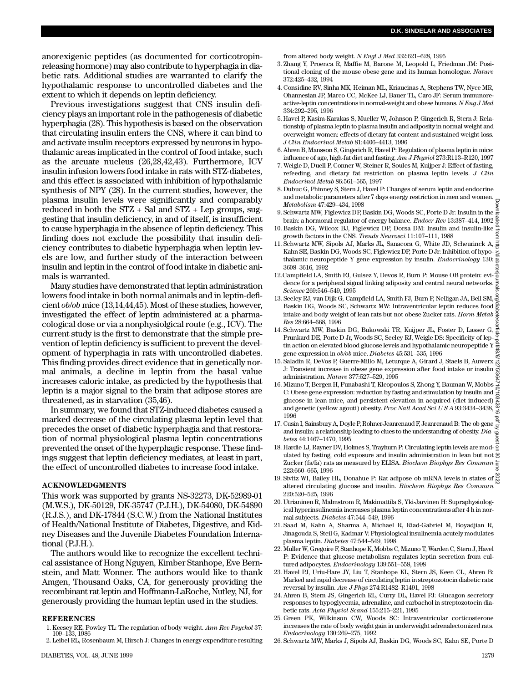anorexigenic peptides (as documented for corticotropinreleasing hormone) may also contribute to hyperphagia in diabetic rats. Additional studies are warranted to clarify the hypothalamic response to uncontrolled diabetes and the extent to which it depends on leptin deficiency.

Previous investigations suggest that CNS insulin deficiency plays an important role in the pathogenesis of diabetic hyperphagia (28). This hypothesis is based on the observation that circulating insulin enters the CNS, where it can bind to and activate insulin receptors expressed by neurons in hypothalamic areas implicated in the control of food intake, such as the arcuate nucleus (26,28,42,43). Furthermore, ICV insulin infusion lowers food intake in rats with STZ-diabetes, and this effect is associated with inhibition of hypothalamic synthesis of NPY (28). In the current studies, however, the plasma insulin levels were significantly and comparably reduced in both the  $STZ + Sal$  and  $STZ + Lep$  groups, suggesting that insulin deficiency, in and of itself, is insufficient to cause hyperphagia in the absence of leptin deficiency. This finding does not exclude the possibility that insulin deficiency contributes to diabetic hyperphagia when leptin levels are low, and further study of the interaction between insulin and leptin in the control of food intake in diabetic animals is warranted.

Many studies have demonstrated that leptin administration lowers food intake in both normal animals and in leptin-deficient *ob/ob* mice (13,14,44,45). Most of these studies, however, investigated the effect of leptin administered at a pharmacological dose or via a nonphysiolgical route (e.g., ICV). The current study is the first to demonstrate that the simple prevention of leptin deficiency is sufficient to prevent the development of hyperphagia in rats with uncontrolled diabetes. This finding provides direct evidence that in genetically normal animals, a decline in leptin from the basal value increases caloric intake, as predicted by the hypothesis that leptin is a major signal to the brain that adipose stores are threatened, as in starvation (35,46).

In summary, we found that STZ-induced diabetes caused a marked decrease of the circulating plasma leptin level that precedes the onset of diabetic hyperphagia and that restoration of normal physiological plasma leptin concentrations prevented the onset of the hyperphagic response. These findings suggest that leptin deficiency mediates, at least in part, the effect of uncontrolled diabetes to increase food intake.

### **ACKNOWLEDGMENTS**

This work was supported by grants NS-32273, DK-52989-01 (M.W.S.), DK-50129, DK-35747 (P.J.H.), DK-54080, DK-54890 (R.J.S.), and DK-17844 (S.C.W.) from the National Institutes of Health/National Institute of Diabetes, Digestive, and Kidney Diseases and the Juvenile Diabetes Foundation International  $(P.J.H.)$ .

The authors would like to recognize the excellent technical assistance of Hong Nguyen, Kimber Stanhope, Eve Bernstein, and Matt Wonner. The authors would like to thank Amgen, Thousand Oaks, CA, for generously providing the recombinant rat leptin and Hoffmann-LaRoche, Nutley, NJ, for generously providing the human leptin used in the studies.

## **REFERENCES**

- 1. Keesey RE, Powley TL: The regulation of body weight. Ann Rev Psychol 37: 109–133, 1986
- 2 . Leibel RL, Rosenbaum M, Hirsch J: Changes in energy expenditure resulting

from altered body weight. *N Engl J Med* 332:621–628, 1995

- 3 . Zhang Y, Proenca R, Maffie M, Barone M, Leopold L, Friedman JM: Positional cloning of the mouse obese gene and its human homologue. Nature 372:425–432, 1994
- 4 . Considine RV, Sinha MK, Heiman ML, Kriaucinas A, Stephens TW, Nyce MR, Ohannesian JP, Marco CC, McKee LJ, Bauer TL, Caro JF: Serum immunoreactive-leptin concentrations in normal-weight and obese humans. *N Eng J Med* 334:292–295, 1996
- 5 . Havel P, Kasim-Karakas S, Mueller W, Johnson P, Gingerich R, Stern J: Relationship of plasma leptin to plasma insulin and adiposity in normal weight and overweight women: effects of dietary fat content and sustained weight loss. *J Clin Endocrinol Metab* 81:4406–4413, 1996
- 6 . Ahren B, Mansson S, Gingerich R, Havel P: Regulation of plasma leptin in mice: i n fluence of age, high-fat diet and fasting. *Am J Physiol* 273:R113–R120, 1997
- 7 . Weigle D, Duell P, Conner W, Steiner R, Soules M, Kuijper J: Effect of fasting, refeeding, and dietary fat restriction on plasma leptin levels. *J Clin Endocrinol Metab* 86:561–565, 1997
- 8 . Dubuc G, Phinney S, Stern J, Havel P: Changes of serum leptin and endocrine and metabolic parameters after 7 days energy restriction in men and women. *M e t a b o l i s m* 47:429–434, 1998
- 9. Schwartz MW, Figlewicz DP, Baskin DG, Woods SC, Porte D Jr: Insulin in the  $\frac{3}{8}$ brain: a hormonal regulator of energy balance. *Endocr Rev* 13:387–414, 1992
- 1 0 . Baskin DG, Wilcox BJ, Figlewicz DP, Dorsa DM: Insulin and insulin-like growth factors in the CNS. *Trends Neurosci* 11:107–111, 1988
- 11. Schwartz MW, Sipols AJ, Marks JL, Sanacora G, White JD, Scheurinck A,  $\frac{3}{64}$ Kahn SE, Baskin DG, Woods SC, Figlewicz DP, Porte D Jr: Inhibition of hypothalamic neuropeptide Y gene expression by insulin. *Endocrinology* 130: 3608–3616, 1992
- 12 Campfield LA, Smith FJ, Gulsez Y, Devos R, Burn P: Mouse OB protein: evi- $\frac{3}{2}$ dence for a peripheral signal linking adiposity and central neural networks. *S c i e n c e* 269:546–549, 1995
- 1 3 . Seeley RJ, van Dijk G, Campfield LA, Smith FJ, Burn P, Nelligan JA, Bell SM, Baskin DG, Woods SC, Schwartz MW: Intraventricular leptin reduces food intake and body weight of lean rats but not obese Zucker rats. *Horm Metab R e s* 28:664–668, 1996
- 14. Schwartz MW, Baskin DG, Bukowski TR, Kuijper JL, Foster D, Lasser G,  $\frac{1}{6}$ Schwartz MW, Baskin Der, Durwwest, 119, Nessley RJ, Weigle DS: Specificity of lep- $\frac{5}{6}$ <br>Prunkard DE, Porte D Jr, Woods SC, Seeley RJ, Weigle DS: Specificity of lep- $\frac{5}{6}$ tin action on elevated blood glucose levels and hypothalamic neuropeptide Y gene expression in  $ob/ob$  mice. *Diabetes* 45:531–535, 1996
- 15. Saladin R, DeVos P, Guerre-Millo M, Leturque A, Girard J, Staels B, Auwerx  $\frac{1}{N}$ J: Transient increase in obese gene expression after food intake or insulin g administration. *Nature* 377:527-529, 1995
- 1 6 . Mizuno T, Bergen H, Funabashi T, Kleopoulos S, Zhong Y, Bauman W, Mobbs C: Obese gene expression: reduction by fasting and stimulation by insulin and C. Obese gene expression required  $\omega$  and  $\omega$  in acquired (diet induced)  $\frac{Q}{R}$ <br>glucose in lean mice, and persistent elevation in acquired (diet induced)  $\frac{Q}{R}$ and genetic (yellow agouti) obesity. *Proc Natl Acad Sci U S A* 93:3434-3438,  $\frac{8}{9}$ 1996 Downloaded from http://diabetesjournals.org/diabetes/article-pdf/48/6/1275/364710/10342816.pdf by guest on 30 June 2022
- 17. Cusin I, Sainsbury A, Doyle P, Rohner-Jeanrenaud F, Jeanrenaud B: The ob gene  $\frac{a}{g}$ and insulin: a relationship leading to clues to the understanding of obesity. *D i a b e t e s* 44:1467–1470, 1995
- 18. Hardie LJ, Rayner DV, Holmes S, Trayhurn P: Circulating leptin levels are mod-  $\frac{1}{9}$ ulated by fasting, cold exposure and insulin administration in lean but not Zucker (fa/fa) rats as measured by ELISA. *Biochem Biophys Res Commun* 223:660–665, 1996
- 19. Sivitz WI, Bailey HL, Donahue P: Rat adipose ob mRNA levels in states of  $\frac{8}{52}$ altered circulating glucose and insulin. *Biochem Biophys Res Commun* 220:520–525, 1996
- 20. Utrianinen R, Malmstrom R, Makimattila S, Yki-Jarvinen H: Supraphysiological hyperinsulinemia increases plasma leptin concentrations after 4 h in normal subjects. *Diabetes* 47:544-549, 1996
- 2 1 . Saad M, Kahn A, Sharma A, Michael R, Riad-Gabriel M, Boyadjian R, Jinagouda S, Steil G, Kadmar V: Physiological insulinemia acutely modulates plasma leptin. *Diabetes* 47:544-549, 1998
- 22. Muller W, Gregoire F, Stanhope K, Mobbs C, Mizuno T, Warden C, Stern J, Havel P: Evidence that glucose metabolism regulates leptin secretion from cultured adipocytes. *Endocrinology* 139:551-558, 1998
- 23. Havel PJ, Uriu-Hare JY, Liu T, Stanhope KL, Stern JS, Keen CL, Ahren B: Marked and rapid decrease of circulating leptin in streptozotocin diabetic rats: reversal by insulin. *Am J Phys* 274:R1482–R1491, 1998
- 2 4 . Ahren B, Stern JS, Gingerich RL, Curry DL, Havel PJ: Glucagon secretory responses to hypoglycemia, adrenaline, and carbachol in streptozotocin diabetic rats. *Acta Physiol Scand* 155:215–221, 1995
- 2 5 . Green PK, Wilkinson CW, Woods SC: Intraventricular corticosterone increases the rate of body weight gain in underweight adrenalectomized rats. *E n d o c r i n o l o g y* 130:269–275, 1992
- 26. Schwartz MW, Marks J, Sipols AJ, Baskin DG, Woods SC, Kahn SE, Porte D